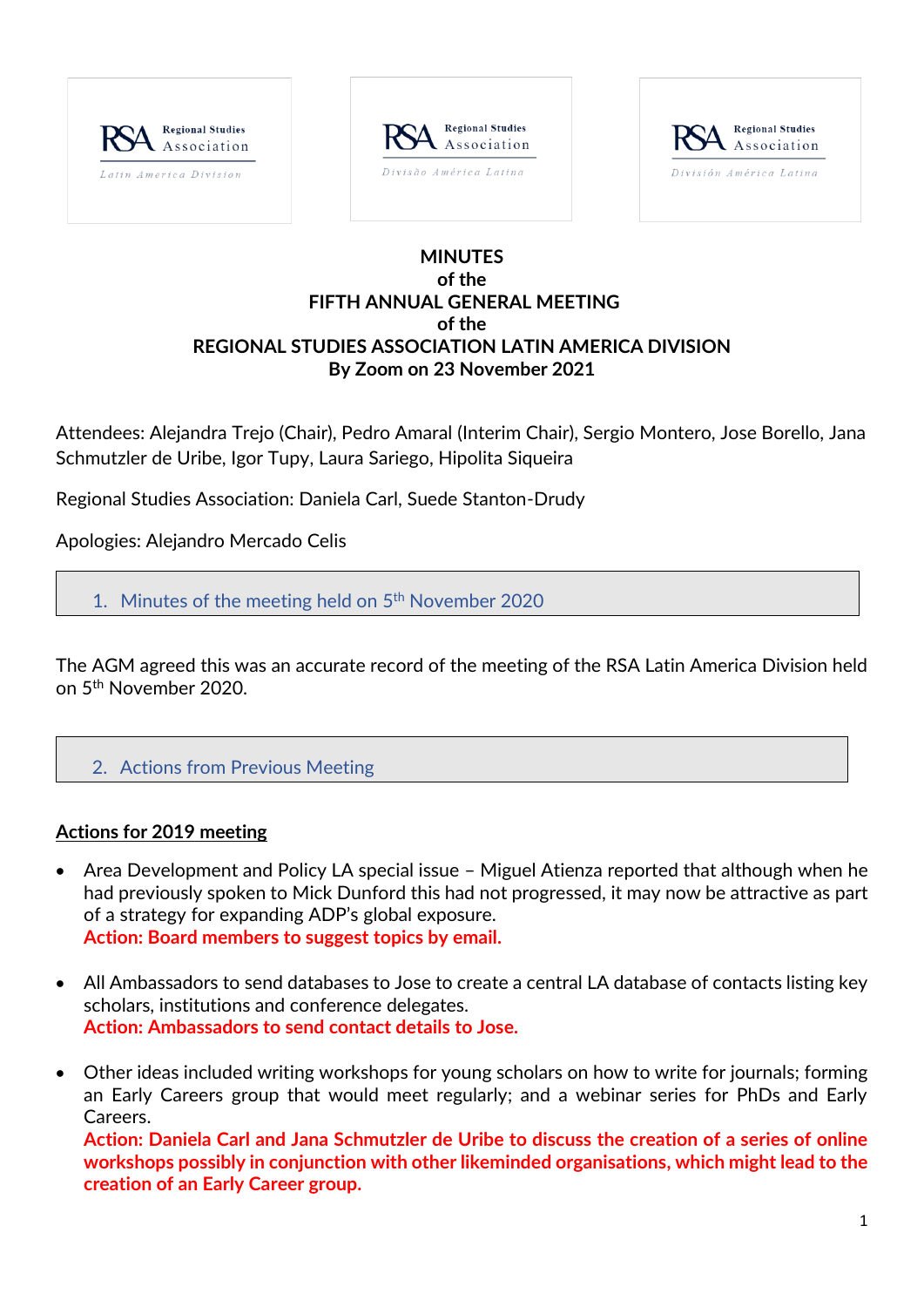





### **MINUTES of the FIFTH ANNUAL GENERAL MEETING of the REGIONAL STUDIES ASSOCIATION LATIN AMERICA DIVISION By Zoom on 23 November 2021**

Attendees: Alejandra Trejo (Chair), Pedro Amaral (Interim Chair), Sergio Montero, Jose Borello, Jana Schmutzler de Uribe, Igor Tupy, Laura Sariego, Hipolita Siqueira

Regional Studies Association: Daniela Carl, Suede Stanton-Drudy

Apologies: Alejandro Mercado Celis

1. Minutes of the meeting held on 5<sup>th</sup> November 2020

The AGM agreed this was an accurate record of the meeting of the RSA Latin America Division held on 5 th November 2020.

2. Actions from Previous Meeting

#### **Actions for 2019 meeting**

- Area Development and Policy LA special issue Miguel Atienza reported that although when he had previously spoken to Mick Dunford this had not progressed, it may now be attractive as part of a strategy for expanding ADP's global exposure. **Action: Board members to suggest topics by email.**
- All Ambassadors to send databases to Jose to create a central LA database of contacts listing key scholars, institutions and conference delegates. **Action: Ambassadors to send contact details to Jose.**
- Other ideas included writing workshops for young scholars on how to write for journals; forming an Early Careers group that would meet regularly; and a webinar series for PhDs and Early Careers.

**Action: Daniela Carl and Jana Schmutzler de Uribe to discuss the creation of a series of online workshops possibly in conjunction with other likeminded organisations, which might lead to the creation of an Early Career group.**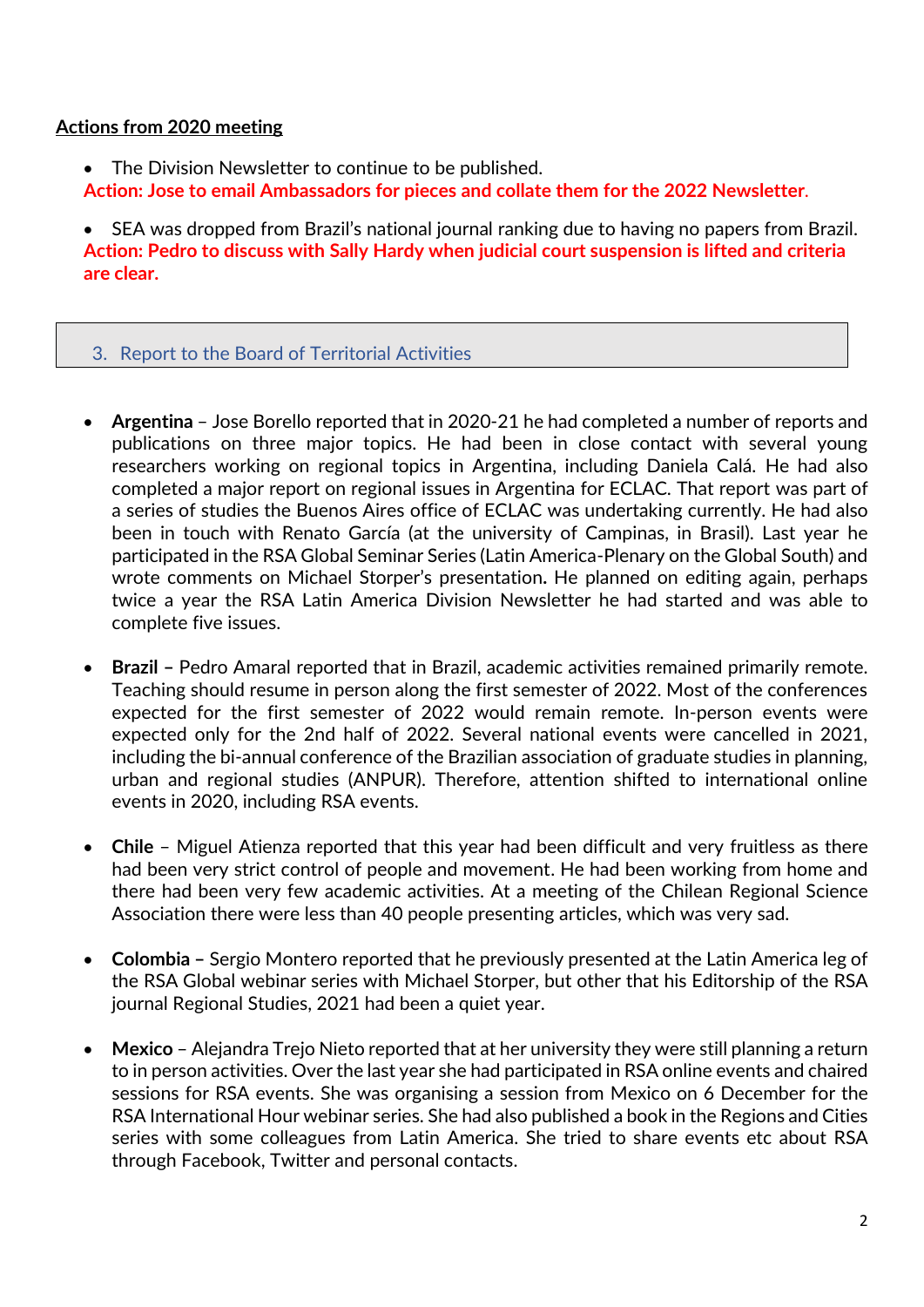### **Actions from 2020 meeting**

- The Division Newsletter to continue to be published.
- **Action: Jose to email Ambassadors for pieces and collate them for the 2022 Newsletter**.

• SEA was dropped from Brazil's national journal ranking due to having no papers from Brazil. **Action: Pedro to discuss with Sally Hardy when judicial court suspension is lifted and criteria are clear.**

## 3. Report to the Board of Territorial Activities

- **Argentina**  Jose Borello reported that in 2020-21 he had completed a number of reports and publications on three major topics. He had been in close contact with several young researchers working on regional topics in Argentina, including Daniela Calá. He had also completed a major report on regional issues in Argentina for ECLAC. That report was part of a series of studies the Buenos Aires office of ECLAC was undertaking currently. He had also been in touch with Renato García (at the university of Campinas, in Brasil). Last year he participated in the RSA Global Seminar Series (Latin America-Plenary on the Global South) and wrote comments on Michael Storper's presentation**.** He planned on editing again, perhaps twice a year the RSA Latin America Division Newsletter he had started and was able to complete five issues.
- **Brazil –** Pedro Amaral reported that in Brazil, academic activities remained primarily remote. Teaching should resume in person along the first semester of 2022. Most of the conferences expected for the first semester of 2022 would remain remote. In-person events were expected only for the 2nd half of 2022. Several national events were cancelled in 2021, including the bi-annual conference of the Brazilian association of graduate studies in planning, urban and regional studies (ANPUR). Therefore, attention shifted to international online events in 2020, including RSA events.
- **Chile**  Miguel Atienza reported that this year had been difficult and very fruitless as there had been very strict control of people and movement. He had been working from home and there had been very few academic activities. At a meeting of the Chilean Regional Science Association there were less than 40 people presenting articles, which was very sad.
- **Colombia –** Sergio Montero reported that he previously presented at the Latin America leg of the RSA Global webinar series with Michael Storper, but other that his Editorship of the RSA journal Regional Studies, 2021 had been a quiet year.
- **Mexico** Alejandra Trejo Nieto reported that at her university they were still planning a return to in person activities. Over the last year she had participated in RSA online events and chaired sessions for RSA events. She was organising a session from Mexico on 6 December for the RSA International Hour webinar series. She had also published a book in the Regions and Cities series with some colleagues from Latin America. She tried to share events etc about RSA through Facebook, Twitter and personal contacts.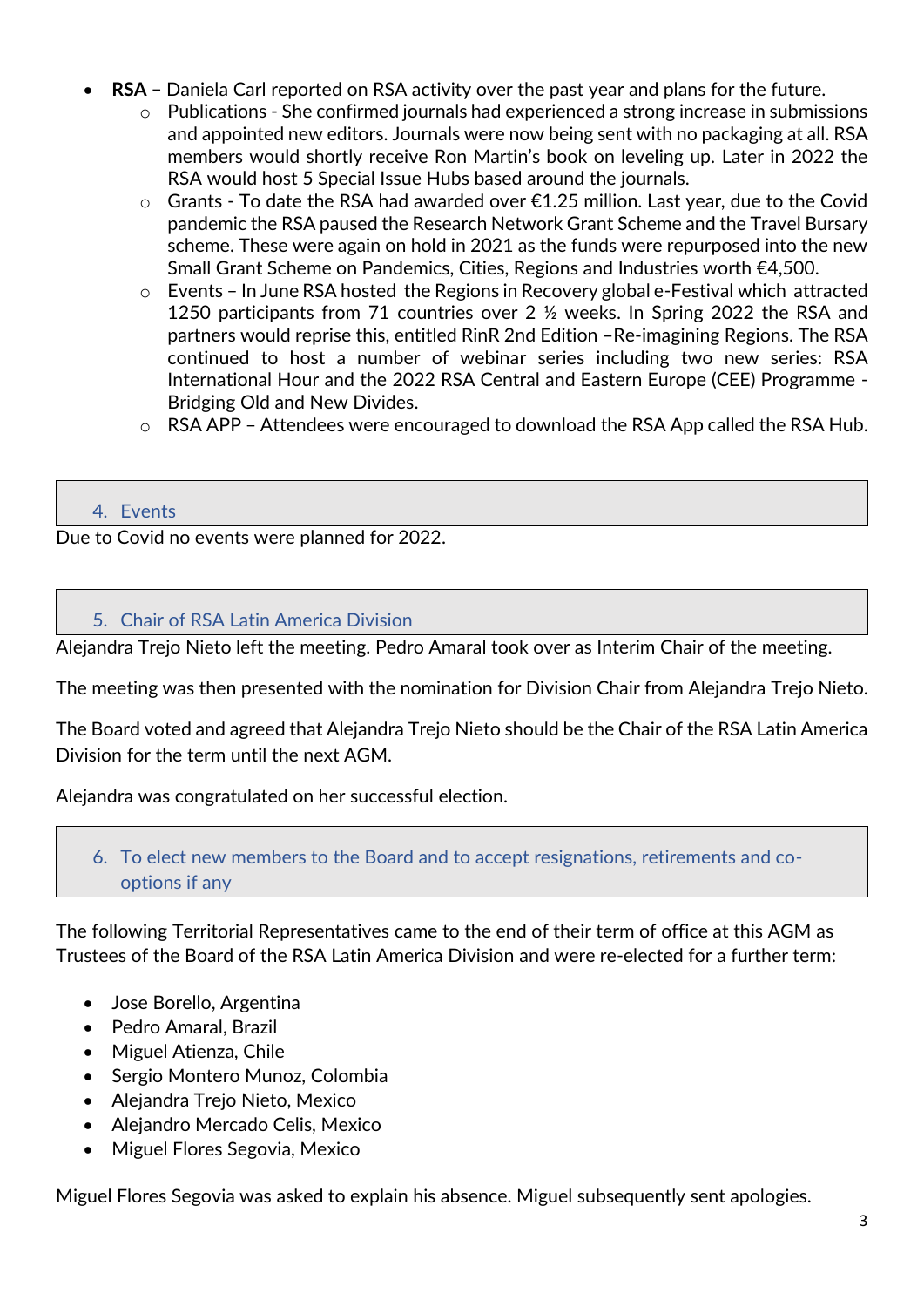- **RSA –** Daniela Carl reported on RSA activity over the past year and plans for the future.
	- $\circ$  Publications She confirmed journals had experienced a strong increase in submissions and appointed new editors. Journals were now being sent with no packaging at all. RSA members would shortly receive Ron Martin's book on leveling up. Later in 2022 the RSA would host 5 Special Issue Hubs based around the journals.
	- o Grants To date the RSA had awarded over €1.25 million. Last year, due to the Covid pandemic the RSA paused the Research Network Grant Scheme and the Travel Bursary scheme. These were again on hold in 2021 as the funds were repurposed into the new Small Grant Scheme on Pandemics, Cities, Regions and Industries worth €4,500.
	- o Events In June RSA hosted the Regions in Recovery global e-Festival which attracted 1250 participants from 71 countries over 2 ½ weeks. In Spring 2022 the RSA and partners would reprise this, entitled RinR 2nd Edition –Re-imagining Regions. The RSA continued to host a number of webinar series including two new series: RSA International Hour and the 2022 RSA Central and Eastern Europe (CEE) Programme - Bridging Old and New Divides.
	- o RSA APP Attendees were encouraged to download the RSA App called the RSA Hub.

# 4. Events

Due to Covid no events were planned for 2022.

## 5. Chair of RSA Latin America Division

Alejandra Trejo Nieto left the meeting. Pedro Amaral took over as Interim Chair of the meeting.

The meeting was then presented with the nomination for Division Chair from Alejandra Trejo Nieto.

The Board voted and agreed that Alejandra Trejo Nieto should be the Chair of the RSA Latin America Division for the term until the next AGM.

Alejandra was congratulated on her successful election.

# 6. To elect new members to the Board and to accept resignations, retirements and cooptions if any

The following Territorial Representatives came to the end of their term of office at this AGM as Trustees of the Board of the RSA Latin America Division and were re-elected for a further term:

- Jose Borello, Argentina
- Pedro Amaral, Brazil
- Miguel Atienza, Chile
- Sergio Montero Munoz, Colombia
- Alejandra Trejo Nieto, Mexico
- Alejandro Mercado Celis, Mexico
- Miguel Flores Segovia, Mexico

Miguel Flores Segovia was asked to explain his absence. Miguel subsequently sent apologies.